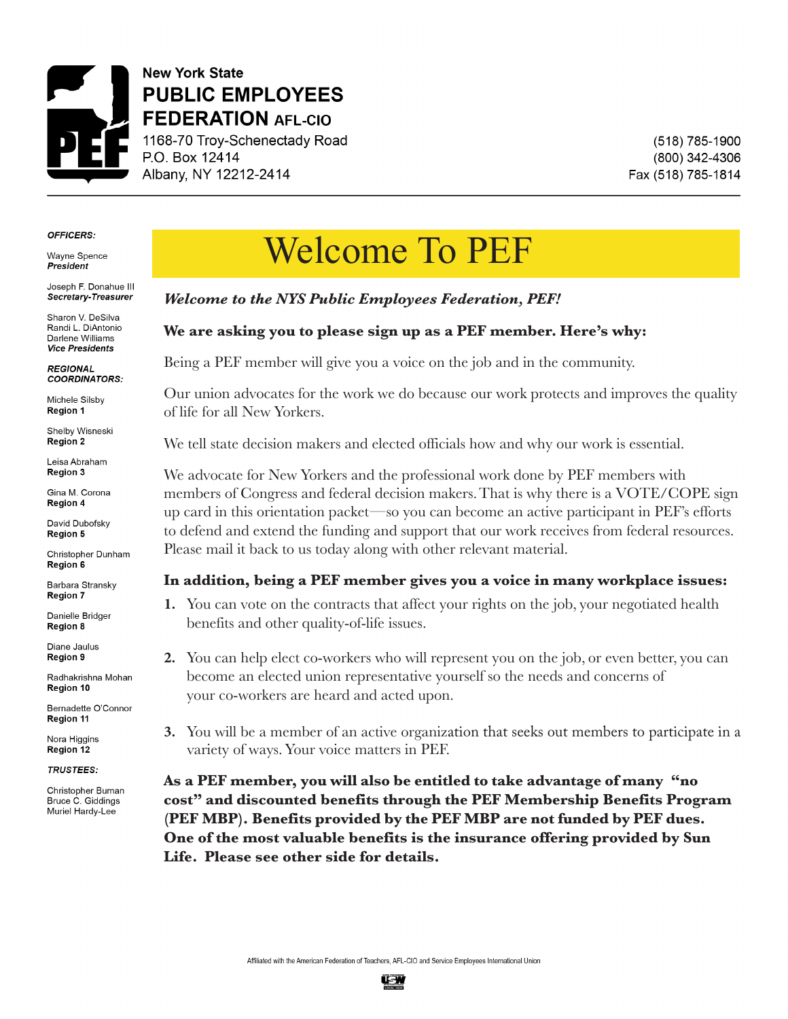

**New York State PUBLIC EMPLOYEES**<br>**FEDERATION** AFL-CIO 1168-70 Troy-Schenectady Road **F.O. Box 12414** Albany, NY 12212-2414

P.O. Box 12414

(518) 785-1900 (800) 342-4306 Fax (518) 785-1814

#### **OFFICERS:**

**Wavne Spence President** 

Joseph F. Donahue III Secretary-Treasurer

Sharon V. DeSilva **Randi L. DiAntonio** Darlene Williams Vice Presidents

**REGIONAL** COORDINATORS:

**Region 1** Michele Silsby

**Shelby Wisneski Region 2** 

Leisa Abraham **Region 1**

**Andrew Pullet Region 2**

David Dubofsky **Region 3**

Christopher Dunham **Region 6** 

Barbara Stransky **Region 5**

Danielle Bridger **Region 6**

Diarie Jaulus<br>Barbara **Region 7**

Radia Kisilia Monari *Region 8 Advocate*

**Bernadette O'Connor** Region 11

**Nora Higgins** Region 12

**TRUSTEES:** 

Christopher Buman **Bruce C. Giddings** Muriel Hardy-Lee

# Welcome To PEF

### *Welcome to the NYS Public Employees Federation, PEF!*

### **We are asking you to please sign up as a PEF member. Here's why:**

Being a PEF member will give you a voice on the job and in the community.

Our union advocates for the work we do because our work protects and improves the quality of life for all New Yorkers.

We tell state decision makers and elected officials how and why our work is essential.

We advocate for New Yorkers and the professional work done by PEF members with members of Congress and federal decision makers. That is why there is a VOTE/COPE sign up card in this orientation packet—so you can become an active participant in PEF's efforts to defend and extend the funding and support that our work receives from federal resources. Please mail it back to us today along with other relevant material.

#### **In addition, being a PEF member gives you a voice in many workplace issues:**

- **1.** You can vote on the contracts that affect your rights on the job, your negotiated health benefits and other quality-of-life issues.
- **2.** You can help elect co-workers who will represent you on the job, or even better, you can become an elected union representative yourself so the needs and concerns of your co-workers are heard and acted upon.
- **3.** You will be a member of an active organization that seeks out members to participate in a variety of ways. Your voice matters in PEF.

**As a PEF member, you will also be entitled to take advantage of many "no cost" and discounted benefits through the PEF Membership Benefits Program (PEF MBP). Benefits provided by the PEF MBP are not funded by PEF dues. One of the most valuable benefits is the insurance offering provided by Sun Life. Please see other side for details.**